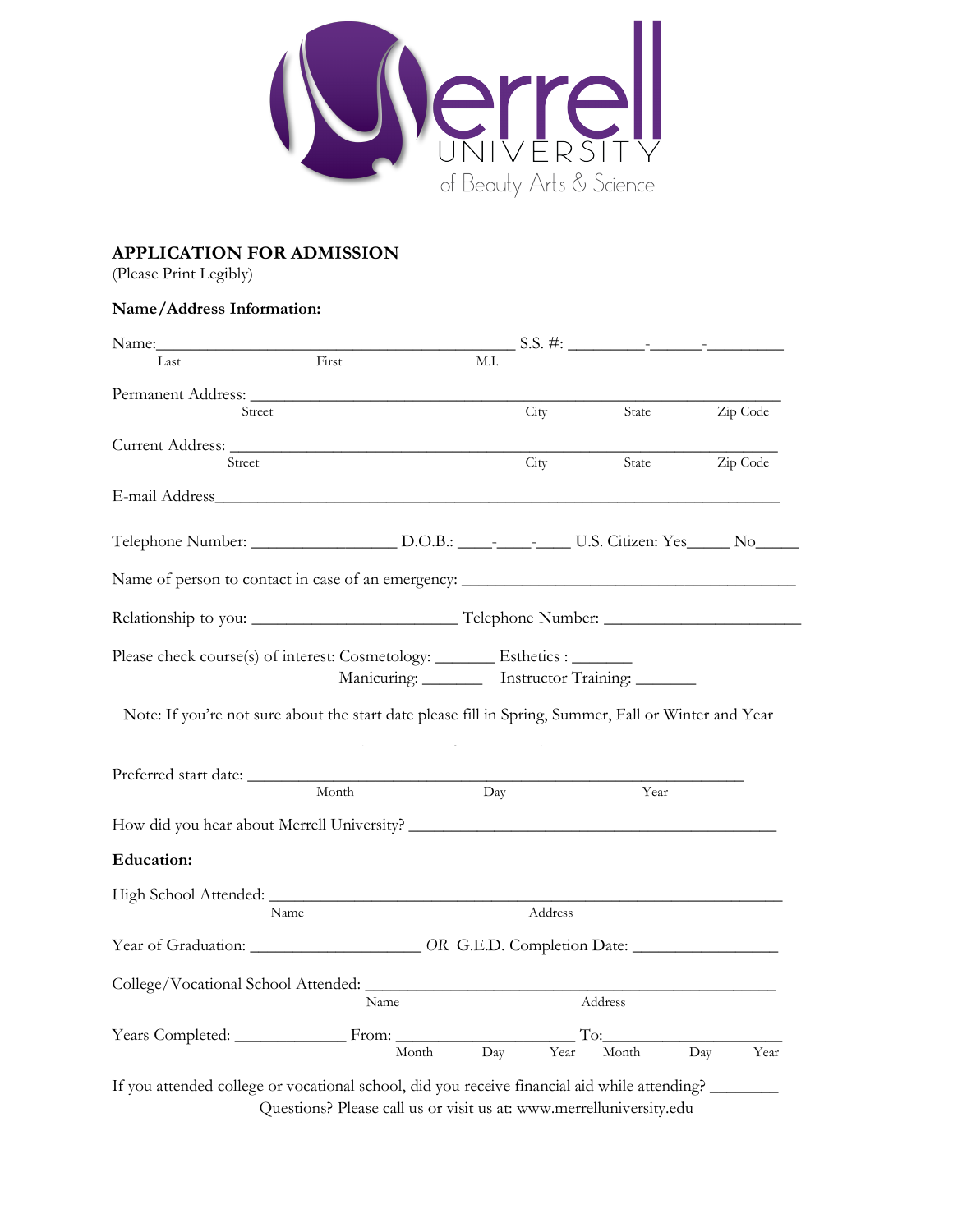

## **APPLICATION FOR ADMISSION**

(Please Print Legibly)

## **Name/Address Information:**

| Name:                                                                                                                                                                                 |       |      |         |                                                    |          |
|---------------------------------------------------------------------------------------------------------------------------------------------------------------------------------------|-------|------|---------|----------------------------------------------------|----------|
| Last                                                                                                                                                                                  | First | M.I. |         |                                                    |          |
|                                                                                                                                                                                       |       |      |         |                                                    |          |
| Street                                                                                                                                                                                |       |      | City    | State                                              | Zip Code |
|                                                                                                                                                                                       |       |      |         |                                                    |          |
| Street                                                                                                                                                                                |       |      | City    | State                                              | Zip Code |
|                                                                                                                                                                                       |       |      |         |                                                    |          |
|                                                                                                                                                                                       |       |      |         |                                                    |          |
|                                                                                                                                                                                       |       |      |         |                                                    |          |
|                                                                                                                                                                                       |       |      |         |                                                    |          |
|                                                                                                                                                                                       |       |      |         |                                                    |          |
|                                                                                                                                                                                       |       |      |         |                                                    |          |
| Please check course(s) of interest: Cosmetology: ________ Esthetics : _______<br>Note: If you're not sure about the start date please fill in Spring, Summer, Fall or Winter and Year |       |      |         | Manicuring: _________ Instructor Training: _______ |          |
|                                                                                                                                                                                       | Month | Day  |         | Year                                               |          |
|                                                                                                                                                                                       |       |      |         |                                                    |          |
| <b>Education:</b>                                                                                                                                                                     |       |      |         |                                                    |          |
|                                                                                                                                                                                       |       |      |         |                                                    |          |
| Name                                                                                                                                                                                  |       |      | Address |                                                    |          |
|                                                                                                                                                                                       |       |      |         |                                                    |          |
|                                                                                                                                                                                       |       |      |         |                                                    |          |
|                                                                                                                                                                                       | Name  |      |         | Address                                            |          |
| Year of Graduation: ______________________ OR G.E.D. Completion Date: _________________<br>Years Completed: From:                                                                     |       |      |         | To:                                                |          |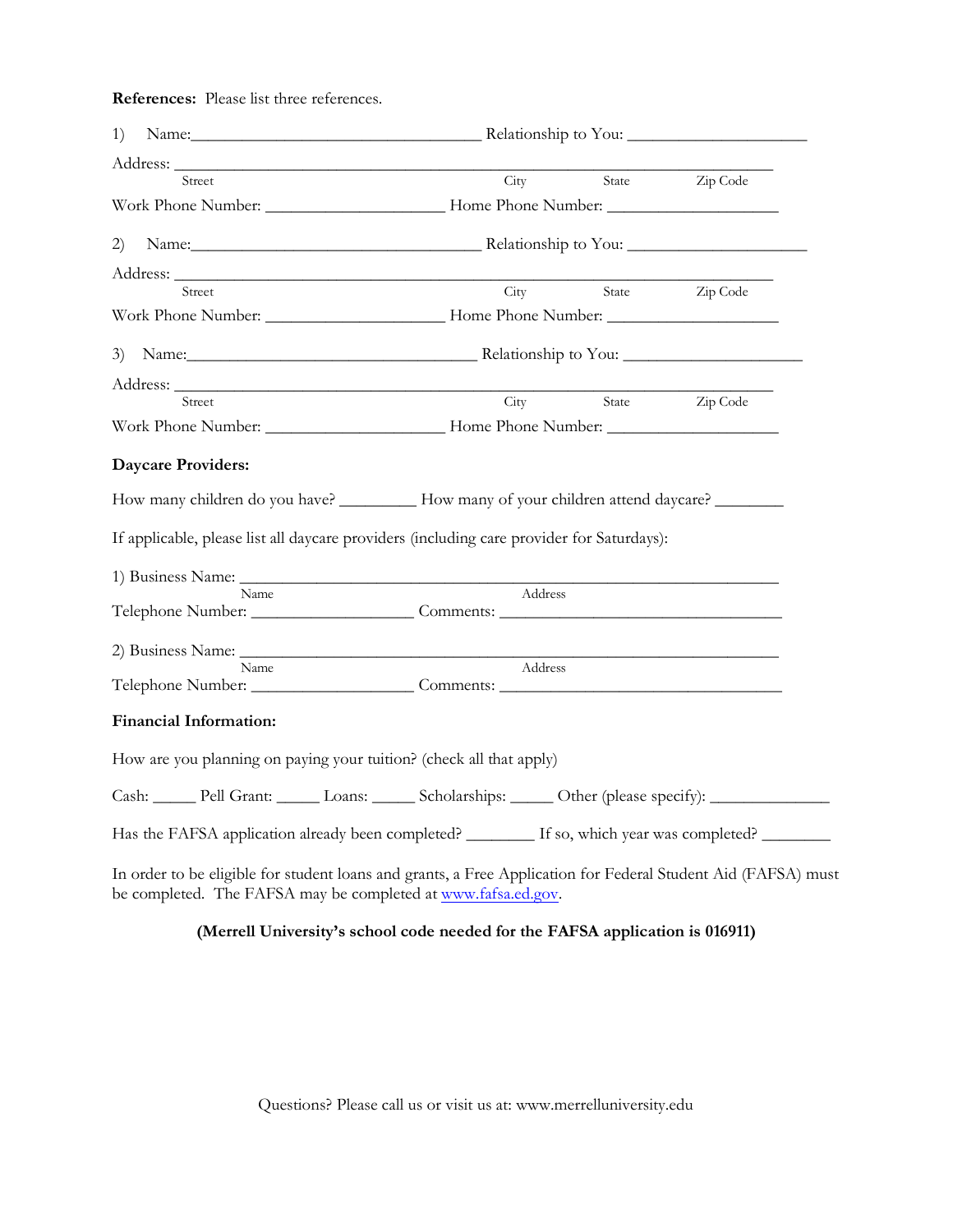**References:** Please list three references.

| 1)                                                                                                                                                                             | Name: Relationship to You:                                                                                                                                                                                                    |  |                |  |
|--------------------------------------------------------------------------------------------------------------------------------------------------------------------------------|-------------------------------------------------------------------------------------------------------------------------------------------------------------------------------------------------------------------------------|--|----------------|--|
|                                                                                                                                                                                |                                                                                                                                                                                                                               |  |                |  |
| Street                                                                                                                                                                         | City                                                                                                                                                                                                                          |  | State Zip Code |  |
|                                                                                                                                                                                |                                                                                                                                                                                                                               |  |                |  |
| 2)                                                                                                                                                                             | Name: Name: Name: Name: Name: Name: Name: Name: Name: Name: Name: Name: Name: Name: Name: Name: Name: Name: Name: Name: Name: Name: Name: Name: Name: Name: Name: Name: Name: Name: Name: Name: Name: Name: Name: Name: Name: |  |                |  |
|                                                                                                                                                                                |                                                                                                                                                                                                                               |  |                |  |
| Street                                                                                                                                                                         | $\overline{\mathrm{City}}$                                                                                                                                                                                                    |  | State Zip Code |  |
|                                                                                                                                                                                |                                                                                                                                                                                                                               |  |                |  |
| 3) Name: <u>Name:</u> Relationship to You:                                                                                                                                     |                                                                                                                                                                                                                               |  |                |  |
|                                                                                                                                                                                |                                                                                                                                                                                                                               |  |                |  |
| Street                                                                                                                                                                         | City                                                                                                                                                                                                                          |  | State Zip Code |  |
|                                                                                                                                                                                |                                                                                                                                                                                                                               |  |                |  |
| <b>Daycare Providers:</b>                                                                                                                                                      |                                                                                                                                                                                                                               |  |                |  |
|                                                                                                                                                                                |                                                                                                                                                                                                                               |  |                |  |
| If applicable, please list all daycare providers (including care provider for Saturdays):                                                                                      |                                                                                                                                                                                                                               |  |                |  |
|                                                                                                                                                                                |                                                                                                                                                                                                                               |  |                |  |
| <b>Name</b>                                                                                                                                                                    | Address                                                                                                                                                                                                                       |  |                |  |
|                                                                                                                                                                                |                                                                                                                                                                                                                               |  |                |  |
| Name<br>Telephone Number: Comments:                                                                                                                                            | Address                                                                                                                                                                                                                       |  |                |  |
| <b>Financial Information:</b>                                                                                                                                                  |                                                                                                                                                                                                                               |  |                |  |
| How are you planning on paying your tuition? (check all that apply)                                                                                                            |                                                                                                                                                                                                                               |  |                |  |
| Cash: Pell Grant: Loans: ______ Scholarships: _____ Other (please specify): _______________________                                                                            |                                                                                                                                                                                                                               |  |                |  |
| Has the FAFSA application already been completed? _______ If so, which year was completed? ______                                                                              |                                                                                                                                                                                                                               |  |                |  |
| In order to be eligible for student loans and grants, a Free Application for Federal Student Aid (FAFSA) must<br>be completed. The FAFSA may be completed at www.fafsa.ed.gov. |                                                                                                                                                                                                                               |  |                |  |

## **(Merrell University's school code needed for the FAFSA application is 016911)**

Questions? Please call us or visit us at: [www.merrelluniversity.edu](http://www.merrelluniversity.edu/)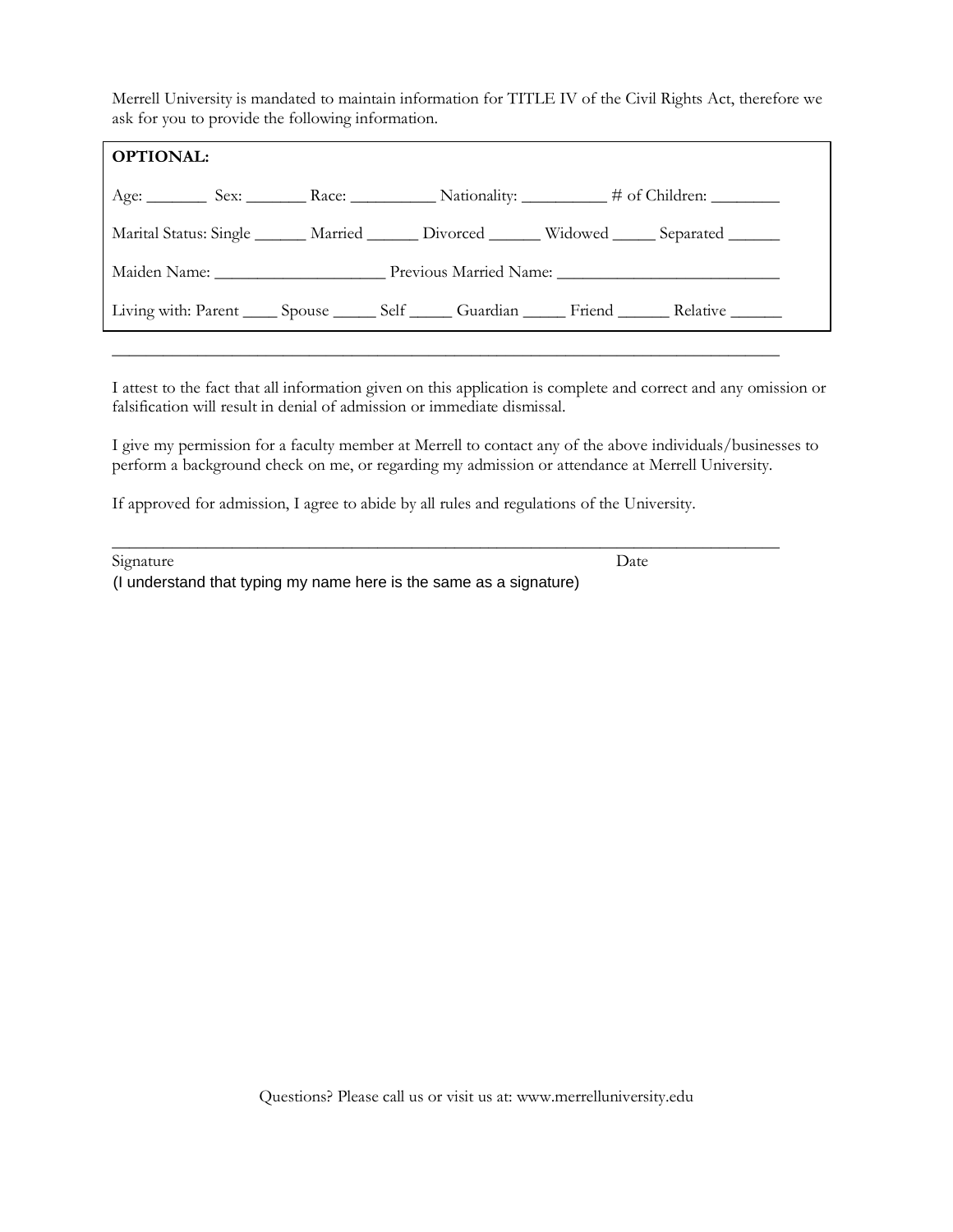Merrell University is mandated to maintain information for TITLE IV of the Civil Rights Act, therefore we ask for you to provide the following information.

| <b>OPTIONAL:</b>                                                                                   |  |  |
|----------------------------------------------------------------------------------------------------|--|--|
|                                                                                                    |  |  |
| Marital Status: Single ______ Married ______ Divorced ______ Widowed _____ Separated ______        |  |  |
|                                                                                                    |  |  |
| Living with: Parent _____ Spouse ______ Self ______ Guardian ______ Friend _______ Relative ______ |  |  |

I attest to the fact that all information given on this application is complete and correct and any omission or falsification will result in denial of admission or immediate dismissal.

\_\_\_\_\_\_\_\_\_\_\_\_\_\_\_\_\_\_\_\_\_\_\_\_\_\_\_\_\_\_\_\_\_\_\_\_\_\_\_\_\_\_\_\_\_\_\_\_\_\_\_\_\_\_\_\_\_\_\_\_\_\_\_\_\_\_\_\_\_\_\_\_\_\_\_\_\_\_

I give my permission for a faculty member at Merrell to contact any of the above individuals/businesses to perform a background check on me, or regarding my admission or attendance at Merrell University.

If approved for admission, I agree to abide by all rules and regulations of the University.

| Signature                                                          | Date |
|--------------------------------------------------------------------|------|
| (I understand that typing my name here is the same as a signature) |      |